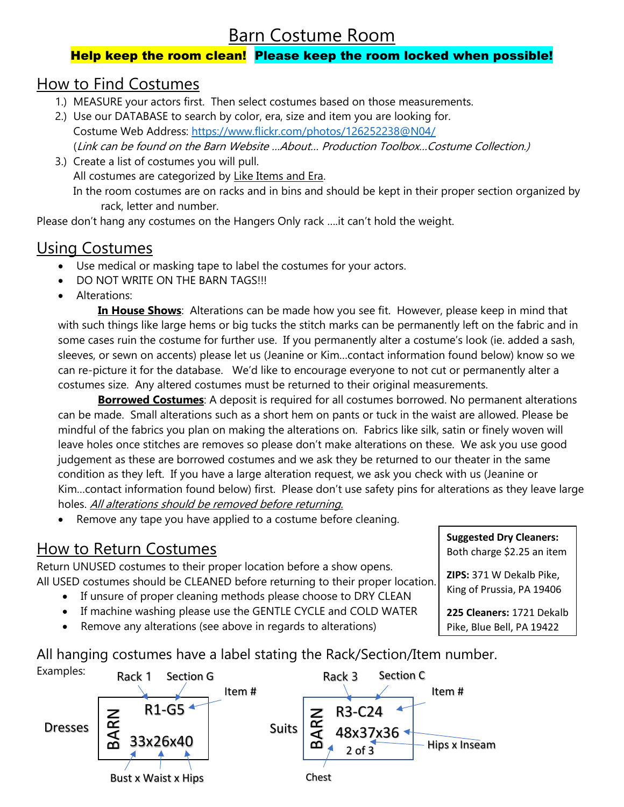# Barn Costume Room

### Help keep the room clean! Please keep the room locked when possible!

## How to Find Costumes

- 1.) MEASURE your actors first. Then select costumes based on those measurements.
- 2.) Use our DATABASE to search by color, era, size and item you are looking for. Costume Web Address:<https://www.flickr.com/photos/126252238@N04/> (Link can be found on the Barn Website …About… Production Toolbox…Costume Collection.)
- 3.) Create a list of costumes you will pull. All costumes are categorized by Like Items and Era. In the room costumes are on racks and in bins and should be kept in their proper section organized by rack, letter and number.

Please don't hang any costumes on the Hangers Only rack ….it can't hold the weight.

## Using Costumes

- Use medical or masking tape to label the costumes for your actors.
- DO NOT WRITE ON THE BARN TAGS!!!
- Alterations:

 **In House Shows**: Alterations can be made how you see fit. However, please keep in mind that with such things like large hems or big tucks the stitch marks can be permanently left on the fabric and in some cases ruin the costume for further use. If you permanently alter a costume's look (ie. added a sash, sleeves, or sewn on accents) please let us (Jeanine or Kim…contact information found below) know so we can re-picture it for the database. We'd like to encourage everyone to not cut or permanently alter a costumes size. Any altered costumes must be returned to their original measurements.

 **Borrowed Costumes**: A deposit is required for all costumes borrowed. No permanent alterations can be made. Small alterations such as a short hem on pants or tuck in the waist are allowed. Please be mindful of the fabrics you plan on making the alterations on. Fabrics like silk, satin or finely woven will leave holes once stitches are removes so please don't make alterations on these. We ask you use good judgement as these are borrowed costumes and we ask they be returned to our theater in the same condition as they left. If you have a large alteration request, we ask you check with us (Jeanine or Kim…contact information found below) first. Please don't use safety pins for alterations as they leave large holes. All alterations should be removed before returning.

Remove any tape you have applied to a costume before cleaning.

## How to Return Costumes

Return UNUSED costumes to their proper location before a show opens. All USED costumes should be CLEANED before returning to their proper location.

- If unsure of proper cleaning methods please choose to DRY CLEAN
- If machine washing please use the GENTLE CYCLE and COLD WATER
- Remove any alterations (see above in regards to alterations)

All hanging costumes have a label stating the Rack/Section/Item number.



| <b>Suggested Dry Cleaners:</b><br>Both charge \$2.25 an item |
|--------------------------------------------------------------|
| ZIPS: 371 W Dekalb Pike,<br>King of Prussia, PA 19406        |
| 225 Cleaners: 1721 Dekalb<br>Pike, Blue Bell, PA 19422       |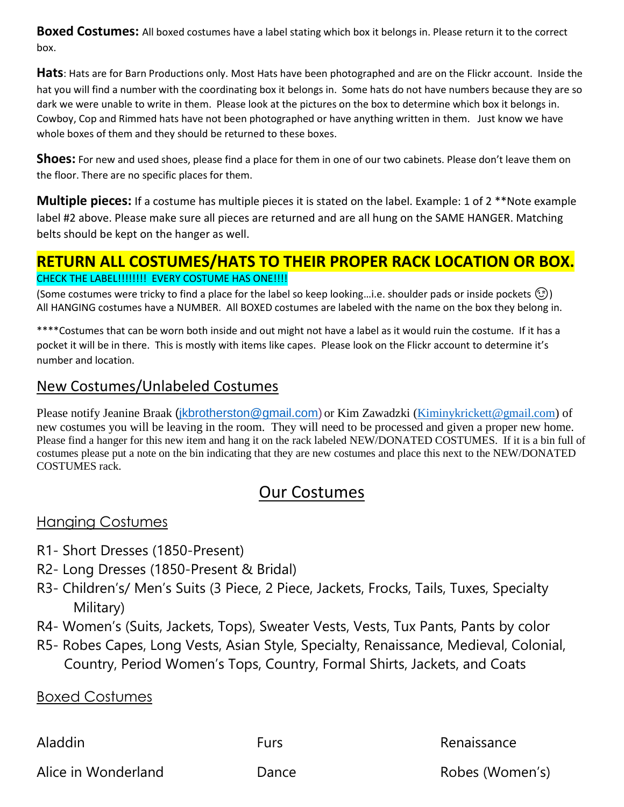**Boxed Costumes:** All boxed costumes have a label stating which box it belongs in. Please return it to the correct box.

**Hats**: Hats are for Barn Productions only. Most Hats have been photographed and are on the Flickr account. Inside the hat you will find a number with the coordinating box it belongs in. Some hats do not have numbers because they are so dark we were unable to write in them. Please look at the pictures on the box to determine which box it belongs in. Cowboy, Cop and Rimmed hats have not been photographed or have anything written in them. Just know we have whole boxes of them and they should be returned to these boxes.

**Shoes:** For new and used shoes, please find a place for them in one of our two cabinets. Please don't leave them on the floor. There are no specific places for them.

**Multiple pieces:** If a costume has multiple pieces it is stated on the label. Example: 1 of 2 \*\*Note example label #2 above. Please make sure all pieces are returned and are all hung on the SAME HANGER. Matching belts should be kept on the hanger as well.

## **RETURN ALL COSTUMES/HATS TO THEIR PROPER RACK LOCATION OR BOX.**

#### CHECK THE LABEL!!!!!!!! EVERY COSTUME HAS ONE!!!!

(Some costumes were tricky to find a place for the label so keep looking...i.e. shoulder pads or inside pockets  $\circled{c}$ ) All HANGING costumes have a NUMBER. All BOXED costumes are labeled with the name on the box they belong in.

\*\*\*\*Costumes that can be worn both inside and out might not have a label as it would ruin the costume. If it has a pocket it will be in there. This is mostly with items like capes. Please look on the Flickr account to determine it's number and location.

## New Costumes/Unlabeled Costumes

Please notify Jeanine Braak [\(jkbrotherston@gmail.com\)](mailto:jkbrotherston@gmail.com) or Kim Zawadzki [\(Kiminykrickett@gmail.com\)](mailto:Kiminykrickett@gmail.com) of new costumes you will be leaving in the room. They will need to be processed and given a proper new home. Please find a hanger for this new item and hang it on the rack labeled NEW/DONATED COSTUMES. If it is a bin full of costumes please put a note on the bin indicating that they are new costumes and place this next to the NEW/DONATED COSTUMES rack.

## Our Costumes

### Hanging Costumes

- R1- Short Dresses (1850-Present)
- R2- Long Dresses (1850-Present & Bridal)
- R3- Children's/ Men's Suits (3 Piece, 2 Piece, Jackets, Frocks, Tails, Tuxes, Specialty Military)
- R4- Women's (Suits, Jackets, Tops), Sweater Vests, Vests, Tux Pants, Pants by color
- R5- Robes Capes, Long Vests, Asian Style, Specialty, Renaissance, Medieval, Colonial, Country, Period Women's Tops, Country, Formal Shirts, Jackets, and Coats

### Boxed Costumes

Aladdin **Furs** Furs **Renaissance** 

Alice in Wonderland Dance Dance Robes (Women's)